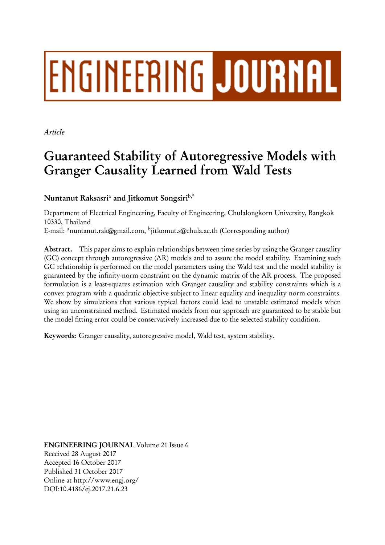# **ENGINEERING JOURNAL**

*Article*

# **Guaranteed Stability of Autoregressive Models with Granger Causality Learned from Wald Tests**

**Nuntanut Raksasri**<sup>a</sup> **and Jitkomut Songsiri**b,\*

Department of Electrical Engineering, Faculty of Engineering, Chulalongkorn University, Bangkok 10330, Thailand

E-mail: <sup>a</sup>nuntanut.rak@gmail.com, <sup>b</sup>jitkomut.s@chula.ac.th (Corresponding author)

**Abstract.** This paper aims to explain relationships between time series by using the Granger causality (GC) concept through autoregressive (AR) models and to assure the model stability. Examining such GC relationship is performed on the model parameters using the Wald test and the model stability is guaranteed by the infinity-norm constraint on the dynamic matrix of the AR process. The proposed formulation is a least-squares estimation with Granger causality and stability constraints which is a convex program with a quadratic objective subject to linear equality and inequality norm constraints. We show by simulations that various typical factors could lead to unstable estimated models when using an unconstrained method. Estimated models from our approach are guaranteed to be stable but the model fitting error could be conservatively increased due to the selected stability condition.

**Keywords:** Granger causality, autoregressive model, Wald test, system stability.

**ENGINEERING JOURNAL** Volume 21 Issue 6 Received 28 August 2017 Accepted 16 October 2017 Published 31 October 2017 Online at http://www.engj.org/ DOI:10.4186/ej.2017.21.6.23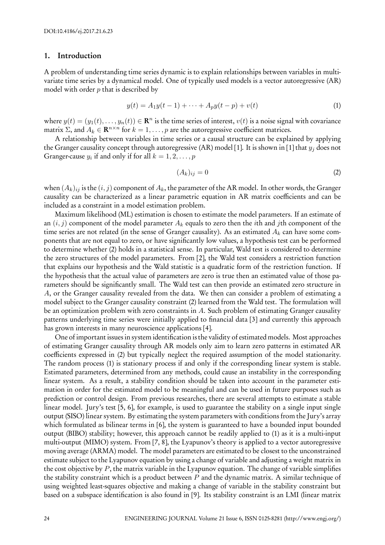#### **1. Introduction**

A problem of understanding time series dynamic is to explain relationships between variables in multivariate time series by a dynamical model. One of typically used models is a vector autoregressive (AR) model with order *p* that is described by

$$
y(t) = A_1 y(t-1) + \dots + A_p y(t-p) + v(t)
$$
\n(1)

where  $y(t) = (y_1(t), \ldots, y_n(t)) \in \mathbb{R}^n$  is the time series of interest,  $v(t)$  is a noise signal with covariance matrix  $\Sigma$ , and  $A_k \in \mathbf{R}^{n \times n}$  for  $k = 1, \ldots, p$  are the autoregressive coefficient matrices.

A relationship between variables in time series or a causal structure can be explained by applying the Granger causality concept through autoregressive (AR) model [1]. It is shown in [1] that *y<sup>j</sup>* does not Granger-cause  $y_i$  if and only if for all  $k = 1, 2, \ldots, p$ 

$$
(A_k)_{ij} = 0 \tag{2}
$$

when  $(A_k)_{ij}$  is the  $(i, j)$  component of  $A_k$ , the parameter of the AR model. In other words, the Granger causality can be characterized as a linear parametric equation in AR matrix coefficients and can be included as a constraint in a model estimation problem.

Maximum likelihood (ML) estimation is chosen to estimate the model parameters. If an estimate of an (*i, j*) component of the model parameter *A<sup>k</sup>* equals to zero then the *i*th and *j*th component of the time series are not related (in the sense of Granger causality). As an estimated *A<sup>k</sup>* can have some components that are not equal to zero, or have significantly low values, a hypothesis test can be performed to determine whether (2) holds in a statistical sense. In particular, Wald test is considered to determine the zero structures of the model parameters. From [2], the Wald test considers a restriction function that explains our hypothesis and the Wald statistic is a quadratic form of the restriction function. If the hypothesis that the actual value of parameters are zero is true then an estimated value of those parameters should be significantly small. The Wald test can then provide an estimated zero structure in *A*, or the Granger causality revealed from the data. We then can consider a problem of estimating a model subject to the Granger causality constraint (2) learned from the Wald test. The formulation will be an optimization problem with zero constraints in *A*. Such problem of estimating Granger causality patterns underlying time series were initially applied to financial data [3] and currently this approach has grown interests in many neuroscience applications [4].

One of important issues in system identification is the validity of estimated models. Most approaches of estimating Granger causality through AR models only aim to learn zero patterns in estimated AR coefficients expressed in (2) but typically neglect the required assumption of the model stationarity. The random process (1) is stationary process if and only if the corresponding linear system is stable. Estimated parameters, determined from any methods, could cause an instability in the corresponding linear system. As a result, a stability condition should be taken into account in the parameter estimation in order for the estimated model to be meaningful and can be used in future purposes such as prediction or control design. From previous researches, there are several attempts to estimate a stable linear model. Jury's test [5, 6], for example, is used to guarantee the stability on a single input single output (SISO) linear system. By estimating the system parameters with conditions from the Jury's array which formulated as bilinear terms in [6], the system is guaranteed to have a bounded input bounded output (BIBO) stability; however, this approach cannot be readily applied to (1) as it is a multi-input multi-output (MIMO) system. From [7, 8], the Lyapunov's theory is applied to a vector autoregressive moving average (ARMA) model. The model parameters are estimated to be closest to the unconstrained estimate subject to the Lyapunov equation by using a change of variable and adjusting a weight matrix in the cost objective by *P*, the matrix variable in the Lyapunov equation. The change of variable simplifies the stability constraint which is a product between *P* and the dynamic matrix. A similar technique of using weighted least-squares objective and making a change of variable in the stability constraint but based on a subspace identification is also found in [9]. Its stability constraint is an LMI (linear matrix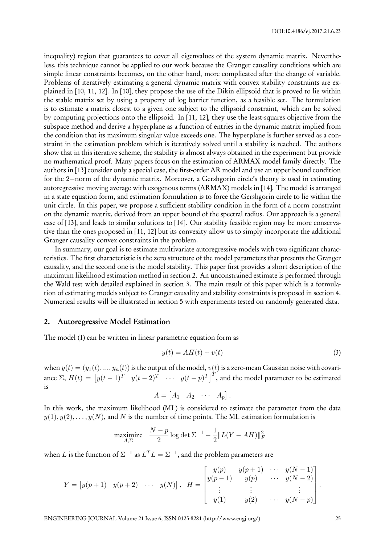inequality) region that guarantees to cover all eigenvalues of the system dynamic matrix. Nevertheless, this technique cannot be applied to our work because the Granger causality conditions which are simple linear constraints becomes, on the other hand, more complicated after the change of variable. Problems of iteratively estimating a general dynamic matrix with convex stability constraints are explained in [10, 11, 12]. In [10], they propose the use of the Dikin ellipsoid that is proved to lie within the stable matrix set by using a property of log barrier function, as a feasible set. The formulation is to estimate a matrix closest to a given one subject to the ellipsoid constraint, which can be solved by computing projections onto the ellipsoid. In [11, 12], they use the least-squares objective from the subspace method and derive a hyperplane as a function of entries in the dynamic matrix implied from the condition that its maximum singular value exceeds one. The hyperplane is further served as a constraint in the estimation problem which is iteratively solved until a stability is reached. The authors show that in this iterative scheme, the stability is almost always obtained in the experiment but provide no mathematical proof. Many papers focus on the estimation of ARMAX model family directly. The authors in [13] consider only a special case, the first-order AR model and use an upper bound condition for the 2*−*norm of the dynamic matrix. Moreover, a Gershgorin circle's theory is used in estimating autoregressive moving average with exogenous terms (ARMAX) models in [14]. The model is arranged in a state equation form, and estimation formulation is to force the Gershgorin circle to lie within the unit circle. In this paper, we propose a sufficient stability condition in the form of a norm constraint on the dynamic matrix, derived from an upper bound of the spectral radius. Our approach is a general case of [13], and leads to similar solutions to [14]. Our stability feasible region may be more conservative than the ones proposed in [11, 12] but its convexity allow us to simply incorporate the additional Granger causality convex constraints in the problem.

In summary, our goal is to estimate multivariate autoregressive models with two significant characteristics. The first characteristic is the zero structure of the model parameters that presents the Granger causality, and the second one is the model stability. This paper first provides a short description of the maximum likelihood estimation method in section 2. An unconstrained estimate is performed through the Wald test with detailed explained in section 3. The main result of this paper which is a formulation of estimating models subject to Granger causality and stability constraints is proposed in section 4. Numerical results will be illustrated in section 5 with experiments tested on randomly generated data.

#### **2. Autoregressive Model Estimation**

The model (1) can be written in linear parametric equation form as

$$
y(t) = AH(t) + v(t)
$$
\n(3)

when  $y(t) = (y_1(t), ..., y_n(t))$  is the output of the model,  $v(t)$  is a zero-mean Gaussian noise with covariance  $\Sigma$ ,  $H(t) = \begin{bmatrix} y(t-1)^T & y(t-2)^T & \cdots & y(t-p)^T \end{bmatrix}^T$ , and the model parameter to be estimated is

$$
A = \begin{bmatrix} A_1 & A_2 & \cdots & A_p \end{bmatrix}.
$$

In this work, the maximum likelihood (ML) is considered to estimate the parameter from the data  $y(1), y(2), \ldots, y(N)$ , and *N* is the number of time points. The ML estimation formulation is

$$
\underset{A,\Sigma}{\text{maximize}} \quad \frac{N-p}{2} \log \det \Sigma^{-1} - \frac{1}{2} \| L(Y - AH) \|_F^2
$$

when *L* is the function of  $\Sigma^{-1}$  as  $L^TL = \Sigma^{-1}$ , and the problem parameters are

$$
Y = [y(p+1) \quad y(p+2) \quad \cdots \quad y(N)], \quad H = \begin{bmatrix} y(p) & y(p+1) & \cdots & y(N-1) \\ y(p-1) & y(p) & \cdots & y(N-2) \\ \vdots & & \vdots & & \vdots \\ y(1) & y(2) & \cdots & y(N-p) \end{bmatrix}.
$$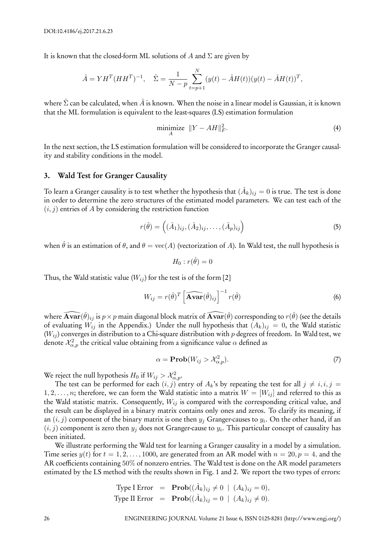It is known that the closed-form ML solutions of *A* and  $\Sigma$  are given by

$$
\hat{A} = YH^{T}(HH^{T})^{-1}, \quad \hat{\Sigma} = \frac{1}{N-p} \sum_{t=p+1}^{N} (y(t) - \hat{A}H(t))(y(t) - \hat{A}H(t))^{T},
$$

where  $\hat{\Sigma}$  can be calculated, when  $\hat{A}$  is known. When the noise in a linear model is Gaussian, it is known that the ML formulation is equivalent to the least-squares (LS) estimation formulation

$$
\underset{A}{\text{minimize}} \ \|Y - AH\|_F^2. \tag{4}
$$

In the next section, the LS estimation formulation will be considered to incorporate the Granger causality and stability conditions in the model.

#### **3. Wald Test for Granger Causality**

To learn a Granger causality is to test whether the hypothesis that  $(\hat{A}_k)_{ij}=0$  is true. The test is done in order to determine the zero structures of the estimated model parameters. We can test each of the  $(i, j)$  entries of *A* by considering the restriction function

$$
r(\hat{\theta}) = \left( (\hat{A}_1)_{ij}, (\hat{A}_2)_{ij}, \dots, (\hat{A}_p)_{ij} \right) \tag{5}
$$

when  $\hat{\theta}$  is an estimation of  $\theta$ , and  $\theta = \text{vec}(A)$  (vectorization of *A*). In Wald test, the null hypothesis is

$$
H_0: r(\hat{\theta}) = 0
$$

Thus, the Wald statistic value  $(W_{ij})$  for the test is of the form [2]

$$
W_{ij} = r(\hat{\theta})^T \left[ \widehat{\mathbf{Avar}}(\hat{\theta})_{ij} \right]^{-1} r(\hat{\theta}) \tag{6}
$$

where  $\widehat{\bf Avar}(\hat\theta)_{ij}$  is  $p\times p$  main diagonal block matrix of  $\widehat{\bf Avar}(\hat\theta)$  corresponding to  $r(\hat\theta)$  (see the details of evaluating  $W_{ij}$  in the Appendix.) Under the null hypothesis that  $(A_k)_{ij} = 0$ , the Wald statistic (*Wij* ) converges in distribution to a Chi-square distribution with *p* degrees of freedom. In Wald test, we denote  $\mathcal{X}_{\alpha,p}^2$  the critical value obtaining from a significance value  $\alpha$  defined as

$$
\alpha = \mathbf{Prob}(W_{ij} > \mathcal{X}_{\alpha,p}^2). \tag{7}
$$

We reject the null hypothesis  $H_0$  if  $W_{ij} > \mathcal{X}_{\alpha,p}^2$ .

The test can be performed for each  $(i, j)$  entry of  $A_k$ 's by repeating the test for all  $j \neq i, i, j =$ 1, 2, ..., n; therefore, we can form the Wald statistic into a matrix  $W = [W_{ij}]$  and referred to this as the Wald statistic matrix. Consequently, *Wij* is compared with the corresponding critical value, and the result can be displayed in a binary matrix contains only ones and zeros. To clarify its meaning, if an (*i, j*) component of the binary matrix is one then *y<sup>j</sup>* Granger-causes to *y<sup>i</sup>* . On the other hand, if an  $(i, j)$  component is zero then  $y_j$  does not Granger-cause to  $y_i$ . This particular concept of causality has been initiated.

We illustrate performing the Wald test for learning a Granger causality in a model by a simulation. Time series  $y(t)$  for  $t = 1, 2, \ldots, 1000$ , are generated from an AR model with  $n = 20, p = 4$ , and the AR coefficients containing 50% of nonzero entries. The Wald test is done on the AR model parameters estimated by the LS method with the results shown in Fig. 1 and 2. We report the two types of errors:

Type I Error = 
$$
\text{Prob}((\hat{A}_k)_{ij} \neq 0 \mid (A_k)_{ij} = 0),
$$
  
Type II Error =  $\text{Prob}((\hat{A}_k)_{ij} = 0 \mid (A_k)_{ij} \neq 0).$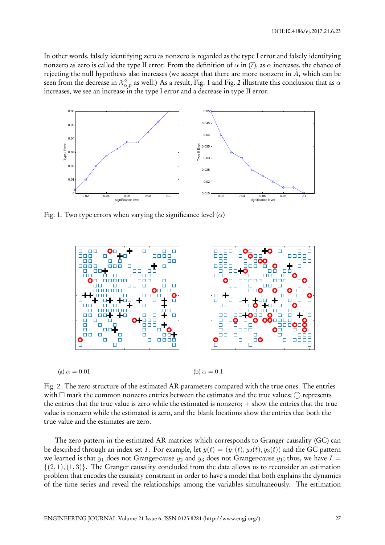In other words, falsely identifying zero as nonzero is regarded as the type I error and falsely identifying nonzero as zero is called the type II error. From the definition of *α* in (7), as *α* increases, the chance of rejecting the null hypothesis also increases (we accept that there are more nonzero in  $\hat{A}$ , which can be seen from the decrease in  $\mathcal{X}^2_{\alpha,p}$  as well.) As a result, Fig. 1 and Fig. 2 illustrate this conclusion that as  $\alpha$ increases, we see an increase in the type I error and a decrease in type II error.



Fig. 1. Two type errors when varying the significance level (*α*)



(a)  $\alpha = 0.01$  (b)  $\alpha = 0.1$ 



Fig. 2. The zero structure of the estimated AR parameters compared with the true ones. The entries with  $\Box$  mark the common nonzero entries between the estimates and the true values;  $\bigcirc$  represents the entries that the true value is zero while the estimated is nonzero; + show the entries that the true value is nonzero while the estimated is zero, and the blank locations show the entries that both the true value and the estimates are zero.

The zero pattern in the estimated AR matrices which corresponds to Granger causality (GC) can be described through an index set *I*. For example, let  $y(t) = (y_1(t), y_2(t), y_3(t))$  and the GC pattern we learned is that  $y_1$  does not Granger-cause  $y_2$  and  $y_3$  does not Granger-cause  $y_1$ ; thus, we have  $I =$ *{*(2*,* 1)*,*(1*,* 3)*}*. The Granger causality concluded from the data allows us to reconsider an estimation problem that encodes the causality constraint in order to have a model that both explains the dynamics of the time series and reveal the relationships among the variables simultaneously. The estimation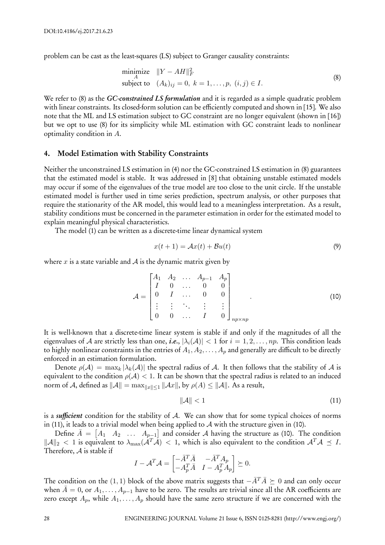problem can be cast as the least-squares (LS) subject to Granger causality constraints:

$$
\begin{array}{ll}\n\text{minimize} & \|Y - AH\|_F^2 \\
\text{subject to} & (A_k)_{ij} = 0, \ k = 1, \dots, p, \ (i, j) \in I.\n\end{array} \tag{8}
$$

We refer to (8) as the *GC-constrained LS formulation* and it is regarded as a simple quadratic problem with linear constraints. Its closed-form solution can be efficiently computed and shown in [15]. We also note that the ML and LS estimation subject to GC constraint are no longer equivalent (shown in [16]) but we opt to use (8) for its simplicity while ML estimation with GC constraint leads to nonlinear optimality condition in *A*.

#### **4. Model Estimation with Stability Constraints**

Neither the unconstrained LS estimation in (4) nor the GC-constrained LS estimation in (8) guarantees that the estimated model is stable. It was addressed in [8] that obtaining unstable estimated models may occur if some of the eigenvalues of the true model are too close to the unit circle. If the unstable estimated model is further used in time series prediction, spectrum analysis, or other purposes that require the stationarity of the AR model, this would lead to a meaningless interpretation. As a result, stability conditions must be concerned in the parameter estimation in order for the estimated model to explain meaningful physical characteristics.

The model (1) can be written as a discrete-time linear dynamical system

$$
x(t+1) = Ax(t) + Bu(t)
$$
\n(9)

where *x* is a state variable and  $\mathcal A$  is the dynamic matrix given by

$$
\mathcal{A} = \begin{bmatrix} A_1 & A_2 & \dots & A_{p-1} & A_p \\ I & 0 & \dots & 0 & 0 \\ 0 & I & \dots & 0 & 0 \\ \vdots & \vdots & \ddots & \vdots & \vdots \\ 0 & 0 & \dots & I & 0 \end{bmatrix}_{np \times np}
$$
 (10)

It is well-known that a discrete-time linear system is stable if and only if the magnitudes of all the eigenvalues of *A* are strictly less than one, *i.e.*,  $|\lambda_i(A)| < 1$  for  $i = 1, 2, ..., np$ . This condition leads to highly nonlinear constraints in the entries of  $A_1, A_2, \ldots, A_p$  and generally are difficult to be directly enforced in an estimation formulation.

Denote  $\rho(A) = \max_k |\lambda_k(A)|$  the spectral radius of A. It then follows that the stability of A is equivalent to the condition  $\rho(\mathcal{A})$  < 1. It can be shown that the spectral radius is related to an induced norm of *A*, defined as  $||A|| = \max_{||x|| \leq 1} ||Ax||$ , by  $\rho(A) \leq ||A||$ . As a result,

$$
\|\mathcal{A}\| < 1\tag{11}
$$

is a *sufficient* condition for the stability of *A*. We can show that for some typical choices of norms in (11), it leads to a trivial model when being applied to *A* with the structure given in (10).

Define  $\bar{A} = \begin{bmatrix} A_1 & A_2 & \dots & A_{p-1} \end{bmatrix}$  and consider *A* having the structure as (10). The condition *∥A∥*<sup>2</sup> *<* 1 is equivalent to *λ*max(*ATA*) *<* 1, which is also equivalent to the condition *ATA ≼ I*. Therefore, *A* is stable if

$$
I - A^T A = \begin{bmatrix} -\bar{A}^T \bar{A} & -\bar{A}^T A_p \\ -A_p^T \bar{A} & I - A_p^T A_p \end{bmatrix} \succeq 0.
$$

The condition on the (1, 1) block of the above matrix suggests that  $-\bar{A}^T\bar{A} \succeq 0$  and can only occur when  $\bar{A} = 0$ , or  $A_1, \ldots, A_{p-1}$  have to be zero. The results are trivial since all the AR coefficients are zero except  $A_p$ , while  $A_1, \ldots, A_p$  should have the same zero structure if we are concerned with the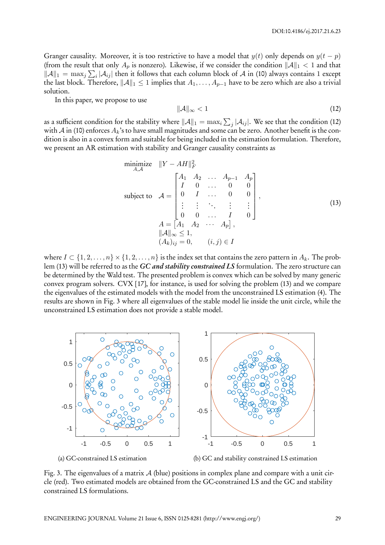Granger causality. Moreover, it is too restrictive to have a model that  $y(t)$  only depends on  $y(t - p)$ (from the result that only  $A_p$  is nonzero). Likewise, if we consider the condition  $||A||_1 < 1$  and that *|* $|A|$ <sub>1</sub> = max<sub>j</sub> ∑<sub>*i*</sub> | $A$ <sub>ij</sub>| then it follows that each column block of *A* in (10) always contains 1 except the last block. Therefore,  $||A||_1 \leq 1$  implies that  $A_1, \ldots, A_{p-1}$  have to be zero which are also a trivial solution.

In this paper, we propose to use

$$
\|\mathcal{A}\|_{\infty} < 1\tag{12}
$$

as a sufficient condition for the stability where  $\|\mathcal{A}\|_1 = \max_i \sum_j |\mathcal{A}_{ij}|.$  We see that the condition (12) with  $A$  in (10) enforces  $A_k$ 's to have small magnitudes and some can be zero. Another benefit is the condition is also in a convex form and suitable for being included in the estimation formulation. Therefore, we present an AR estimation with stability and Granger causality constraints as

minimize 
$$
||Y - AH||_F^2
$$
  
\nsubject to  $A = \begin{bmatrix} A_1 & A_2 & \cdots & A_{p-1} & A_p \\ I & 0 & \cdots & 0 & 0 \\ 0 & I & \cdots & 0 & 0 \\ \vdots & \vdots & \ddots & \vdots & \vdots \\ 0 & 0 & \cdots & I & 0 \end{bmatrix}$ ,  
\n $A = \begin{bmatrix} A_1 & A_2 & \cdots & A_p \end{bmatrix}$ ,  
\n $||A||_{\infty} \le 1$ ,  
\n $(A_k)_{ij} = 0$ ,  $(i, j) \in I$  (13)

where  $I \subset \{1, 2, \ldots, n\} \times \{1, 2, \ldots, n\}$  is the index set that contains the zero pattern in  $A_k$ . The problem (13) will be referred to as the *GC and stability constrained LS* formulation. The zero structure can be determined by the Wald test. The presented problem is convex which can be solved by many generic convex program solvers. CVX [17], for instance, is used for solving the problem (13) and we compare the eigenvalues of the estimated models with the model from the unconstrained LS estimation (4). The results are shown in Fig. 3 where all eigenvalues of the stable model lie inside the unit circle, while the unconstrained LS estimation does not provide a stable model.



(a) GC-constrained LS estimation

(b) GC and stability constrained LS estimation

Fig. 3. The eigenvalues of a matrix *A* (blue) positions in complex plane and compare with a unit circle (red). Two estimated models are obtained from the GC-constrained LS and the GC and stability constrained LS formulations.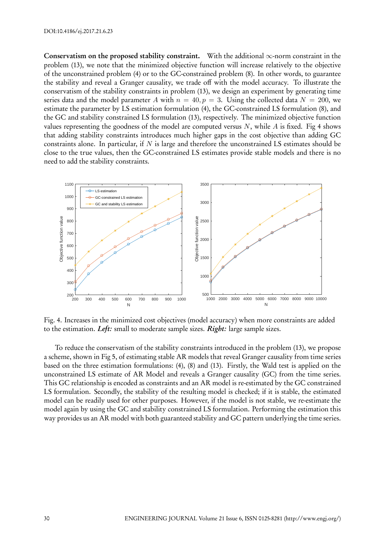**Conservatism on the proposed stability constraint.** With the additional *∞*-norm constraint in the problem (13), we note that the minimized objective function will increase relatively to the objective of the unconstrained problem (4) or to the GC-constrained problem (8). In other words, to guarantee the stability and reveal a Granger causality, we trade off with the model accuracy. To illustrate the conservatism of the stability constraints in problem (13), we design an experiment by generating time series data and the model parameter *A* with  $n = 40, p = 3$ . Using the collected data  $N = 200$ , we estimate the parameter by LS estimation formulation (4), the GC-constrained LS formulation (8), and the GC and stability constrained LS formulation (13), respectively. The minimized objective function values representing the goodness of the model are computed versus *N*, while *A* is fixed. Fig 4 shows that adding stability constraints introduces much higher gaps in the cost objective than adding GC constraints alone. In particular, if *N* is large and therefore the unconstrained LS estimates should be close to the true values, then the GC-constrained LS estimates provide stable models and there is no need to add the stability constraints.



Fig. 4. Increases in the minimized cost objectives (model accuracy) when more constraints are added to the estimation. *Left:* small to moderate sample sizes. *Right:* large sample sizes.

To reduce the conservatism of the stability constraints introduced in the problem (13), we propose a scheme, shown in Fig 5, of estimating stable AR models that reveal Granger causality from time series based on the three estimation formulations: (4), (8) and (13). Firstly, the Wald test is applied on the unconstrained LS estimate of AR Model and reveals a Granger causality (GC) from the time series. This GC relationship is encoded as constraints and an AR model is re-estimated by the GC constrained LS formulation. Secondly, the stability of the resulting model is checked; if it is stable, the estimated model can be readily used for other purposes. However, if the model is not stable, we re-estimate the model again by using the GC and stability constrained LS formulation. Performing the estimation this way provides us an AR model with both guaranteed stability and GC pattern underlying the time series.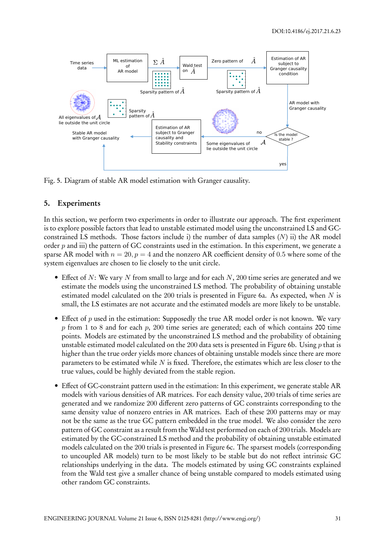

Fig. 5. Diagram of stable AR model estimation with Granger causality.

### **5. Experiments**

In this section, we perform two experiments in order to illustrate our approach. The first experiment is to explore possible factors that lead to unstable estimated model using the unconstrained LS and GCconstrained LS methods. Those factors include i) the number of data samples (*N*) ii) the AR model order *p* and iii) the pattern of GC constraints used in the estimation. In this experiment, we generate a sparse AR model with  $n = 20$ ,  $p = 4$  and the nonzero AR coefficient density of 0.5 where some of the system eigenvalues are chosen to lie closely to the unit circle.

- Effect of *N*: We vary *N* from small to large and for each *N*, 200 time series are generated and we estimate the models using the unconstrained LS method. The probability of obtaining unstable estimated model calculated on the 200 trials is presented in Figure 6a. As expected, when *N* is small, the LS estimates are not accurate and the estimated models are more likely to be unstable.
- Effect of *p* used in the estimation: Supposedly the true AR model order is not known. We vary *p* from 1 to 8 and for each *p*, 200 time series are generated; each of which contains 200 time points. Models are estimated by the unconstrained LS method and the probability of obtaining unstable estimated model calculated on the 200 data sets is presented in Figure 6b. Using *p* that is higher than the true order yields more chances of obtaining unstable models since there are more parameters to be estimated while *N* is fixed. Therefore, the estimates which are less closer to the true values, could be highly deviated from the stable region.
- Effect of GC-constraint pattern used in the estimation: In this experiment, we generate stable AR models with various densities of AR matrices. For each density value, 200 trials of time series are generated and we randomize 200 different zero patterns of GC constraints corresponding to the same density value of nonzero entries in AR matrices. Each of these 200 patterns may or may not be the same as the true GC pattern embedded in the true model. We also consider the zero pattern of GC constraint as a result from the Wald test performed on each of 200 trials. Models are estimated by the GC-constrained LS method and the probability of obtaining unstable estimated models calculated on the 200 trials is presented in Figure 6c. The sparsest models (corresponding to uncoupled AR models) turn to be most likely to be stable but do not reflect intrinsic GC relationships underlying in the data. The models estimated by using GC constraints explained from the Wald test give a smaller chance of being unstable compared to models estimated using other random GC constraints.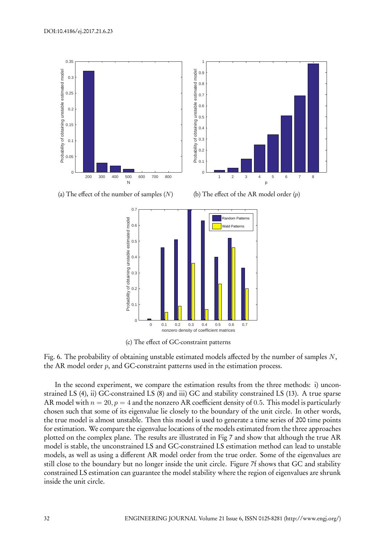

(a) The effect of the number of samples (*N*)





(c) The effect of GC-constraint patterns

Fig. 6. The probability of obtaining unstable estimated models affected by the number of samples *N*, the AR model order *p*, and GC-constraint patterns used in the estimation process.

In the second experiment, we compare the estimation results from the three methods: i) unconstrained LS (4), ii) GC-constrained LS (8) and iii) GC and stability constrained LS (13). A true sparse AR model with  $n = 20$ ,  $p = 4$  and the nonzero AR coefficient density of 0.5. This model is particularly chosen such that some of its eigenvalue lie closely to the boundary of the unit circle. In other words, the true model is almost unstable. Then this model is used to generate a time series of 200 time points for estimation. We compare the eigenvalue locations of the models estimated from the three approaches plotted on the complex plane. The results are illustrated in Fig 7 and show that although the true AR model is stable, the unconstrained LS and GC-constrained LS estimation method can lead to unstable models, as well as using a different AR model order from the true order. Some of the eigenvalues are still close to the boundary but no longer inside the unit circle. Figure 7f shows that GC and stability constrained LS estimation can guarantee the model stability where the region of eigenvalues are shrunk inside the unit circle.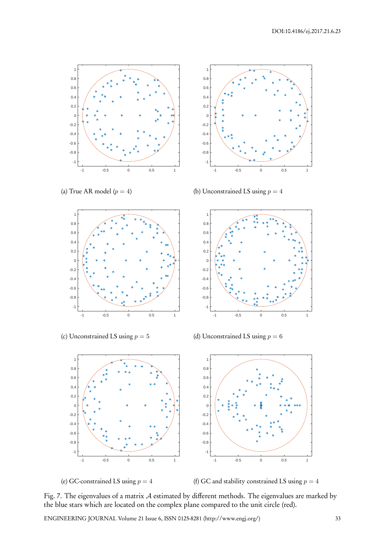

(a) True AR model  $(p = 4)$ 



(b) Unconstrained LS using  $p = 4$ 



(c) Unconstrained LS using *p* = 5

(d) Unconstrained LS using  $p = 6$ 

-1 -0.8 -0.6 -0.4 -0.2  $\Omega$ 0.2 0.4 0.6 0.8 1

-1 -0.5 0 0.5 1





(f) GC and stability constrained LS using  $p = 4$ 

Fig. 7. The eigenvalues of a matrix *A* estimated by different methods. The eigenvalues are marked by the blue stars which are located on the complex plane compared to the unit circle (red).

ENGINEERING JOURNAL Volume 21 Issue 6, ISSN 0125-8281 (http://www.engj.org/) 33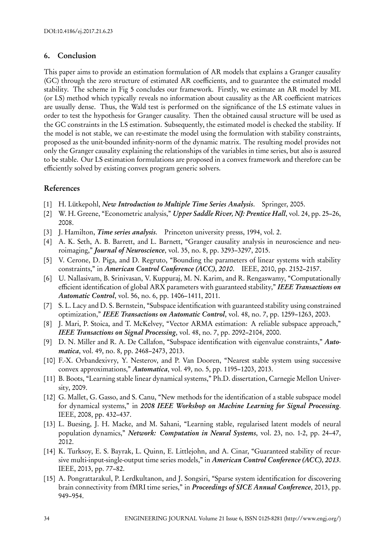## **6. Conclusion**

This paper aims to provide an estimation formulation of AR models that explains a Granger causality (GC) through the zero structure of estimated AR coefficients, and to guarantee the estimated model stability. The scheme in Fig 5 concludes our framework. Firstly, we estimate an AR model by ML (or LS) method which typically reveals no information about causality as the AR coefficient matrices are usually dense. Thus, the Wald test is performed on the significance of the LS estimate values in order to test the hypothesis for Granger causality. Then the obtained causal structure will be used as the GC constraints in the LS estimation. Subsequently, the estimated model is checked the stability. If the model is not stable, we can re-estimate the model using the formulation with stability constraints, proposed as the unit-bounded infinity-norm of the dynamic matrix. The resulting model provides not only the Granger causality explaining the relationships of the variables in time series, but also is assured to be stable. Our LS estimation formulations are proposed in a convex framework and therefore can be efficiently solved by existing convex program generic solvers.

# **References**

- [1] H. Lütkepohl, *New Introduction to Multiple Time Series Analysis*. Springer, 2005.
- [2] W. H. Greene, "Econometric analysis," *Upper Saddle River, NJ: Prentice Hall*, vol. 24, pp. 25–26, 2008.
- [3] J. Hamilton, *Time series analysis*. Princeton university presss, 1994, vol. 2.
- [4] A. K. Seth, A. B. Barrett, and L. Barnett, "Granger causality analysis in neuroscience and neuroimaging," *Journal of Neuroscience*, vol. 35, no. 8, pp. 3293–3297, 2015.
- [5] V. Cerone, D. Piga, and D. Regruto, "Bounding the parameters of linear systems with stability constraints," in *American Control Conference (ACC), 2010*. IEEE, 2010, pp. 2152–2157.
- [6] U. Nallasivam, B. Srinivasan, V. Kuppuraj, M. N. Karim, and R. Rengaswamy, "Computationally efficient identification of global ARX parameters with guaranteed stability," *IEEE Transactions on Automatic Control*, vol. 56, no. 6, pp. 1406–1411, 2011.
- [7] S. L. Lacy and D. S. Bernstein, "Subspace identification with guaranteed stability using constrained optimization," *IEEE Transactions on Automatic Control*, vol. 48, no. 7, pp. 1259–1263, 2003.
- [8] J. Mari, P. Stoica, and T. McKelvey, "Vector ARMA estimation: A reliable subspace approach," *IEEE Transactions on Signal Processing*, vol. 48, no. 7, pp. 2092–2104, 2000.
- [9] D. N. Miller and R. A. De Callafon, "Subspace identification with eigenvalue constraints," *Automatica*, vol. 49, no. 8, pp. 2468–2473, 2013.
- [10] F.-X. Orbandexivry, Y. Nesterov, and P. Van Dooren, "Nearest stable system using successive convex approximations," *Automatica*, vol. 49, no. 5, pp. 1195–1203, 2013.
- [11] B. Boots, "Learning stable linear dynamical systems," Ph.D. dissertation, Carnegie Mellon University, 2009.
- [12] G. Mallet, G. Gasso, and S. Canu, "New methods for the identification of a stable subspace model for dynamical systems," in *2008 IEEE Workshop on Machine Learning for Signal Processing*. IEEE, 2008, pp. 432–437.
- [13] L. Buesing, J. H. Macke, and M. Sahani, "Learning stable, regularised latent models of neural population dynamics," *Network: Computation in Neural Systems*, vol. 23, no. 1-2, pp. 24–47, 2012.
- [14] K. Turksoy, E. S. Bayrak, L. Quinn, E. Littlejohn, and A. Cinar, "Guaranteed stability of recursive multi-input-single-output time series models," in *American Control Conference (ACC), 2013*. IEEE, 2013, pp. 77–82.
- [15] A. Pongrattarakul, P. Lerdkultanon, and J. Songsiri, "Sparse system identification for discovering brain connectivity from fMRI time series," in *Proceedings of SICE Annual Conference*, 2013, pp. 949–954.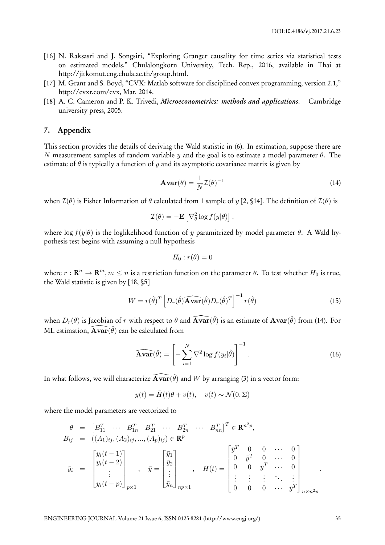- [16] N. Raksasri and J. Songsiri, "Exploring Granger causality for time series via statistical tests on estimated models," Chulalongkorn University, Tech. Rep., 2016, available in Thai at http://jitkomut.eng.chula.ac.th/group.html.
- [17] M. Grant and S. Boyd, "CVX: Matlab software for disciplined convex programming, version 2.1," http://cvxr.com/cvx, Mar. 2014.
- [18] A. C. Cameron and P. K. Trivedi, *Microeconometrics: methods and applications*. Cambridge university press, 2005.

#### **7. Appendix**

This section provides the details of deriving the Wald statistic in (6). In estimation, suppose there are *N* measurement samples of random variable *y* and the goal is to estimate a model parameter *θ*. The estimate of  $\theta$  is typically a function of *y* and its asymptotic covariance matrix is given by

$$
\mathbf{Avar}(\theta) = \frac{1}{N} \mathcal{I}(\theta)^{-1}
$$
 (14)

when  $\mathcal{I}(\theta)$  is Fisher Information of  $\theta$  calculated from 1 sample of *y* [2, §14]. The definition of  $\mathcal{I}(\theta)$  is

$$
\mathcal{I}(\theta) = -\mathbf{E} \left[ \nabla_{\theta}^{2} \log f(y|\theta) \right],
$$

where  $\log f(y|\theta)$  is the loglikelihood function of *y* paramitrized by model parameter  $\theta$ . A Wald hypothesis test begins with assuming a null hypothesis

$$
H_0:r(\theta)=0
$$

where  $r: \mathbf{R}^n \to \mathbf{R}^m, m \leq n$  is a restriction function on the parameter  $\theta$ . To test whether  $H_0$  is true, the Wald statistic is given by [18, §5]

$$
W = r(\hat{\theta})^T \left[ D_r(\hat{\theta}) \widehat{\mathbf{Avar}}(\hat{\theta}) D_r(\hat{\theta})^T \right]^{-1} r(\hat{\theta}) \tag{15}
$$

when  $D_r(\theta)$  is Jacobian of  $r$  with respect to  $\theta$  and  $\widehat{\bf Avar}(\hat\theta)$  is an estimate of  ${\bf Avar}(\hat\theta)$  from (14). For ML estimation,  $\widehat{\mathbf{Avar}}(\hat{\theta})$  can be calculated from

$$
\widehat{\mathbf{Avar}}(\hat{\theta}) = \left[ -\sum_{i=1}^{N} \nabla^2 \log f(y_i|\hat{\theta}) \right]^{-1}.
$$
 (16)

In what follows, we will characterize  $\widehat{\mathbf{Avar}}(\hat{\theta})$  and  $W$  by arranging (3) in a vector form:

$$
y(t) = \bar{H}(t)\theta + v(t), \quad v(t) \sim \mathcal{N}(0, \Sigma)
$$

where the model parameters are vectorized to

$$
\theta = [B_{11}^T \cdots B_{1n}^T B_{21}^T \cdots B_{2n}^T \cdots B_{nn}^T]^T \in \mathbb{R}^{n^2 p},
$$
  
\n
$$
B_{ij} = ((A_{1})_{ij}, (A_{2})_{ij}, ..., (A_{p})_{ij}) \in \mathbb{R}^p
$$
  
\n
$$
\bar{y}_i = \begin{bmatrix} y_i(t-1) \\ y_i(t-2) \\ \vdots \\ y_i(t-p) \end{bmatrix}_{p \times 1}, \quad \bar{y} = \begin{bmatrix} \bar{y}_1 \\ \bar{y}_2 \\ \vdots \\ \bar{y}_n \end{bmatrix}_{np \times 1}, \quad \bar{H}(t) = \begin{bmatrix} \bar{y}^T & 0 & 0 & \cdots & 0 \\ 0 & \bar{y}^T & 0 & \cdots & 0 \\ 0 & 0 & \bar{y}^T & \cdots & 0 \\ \vdots & \vdots & \vdots & \ddots & \vdots \\ 0 & 0 & 0 & \cdots & \bar{y}^T \end{bmatrix}_{n \times n^2 p}.
$$